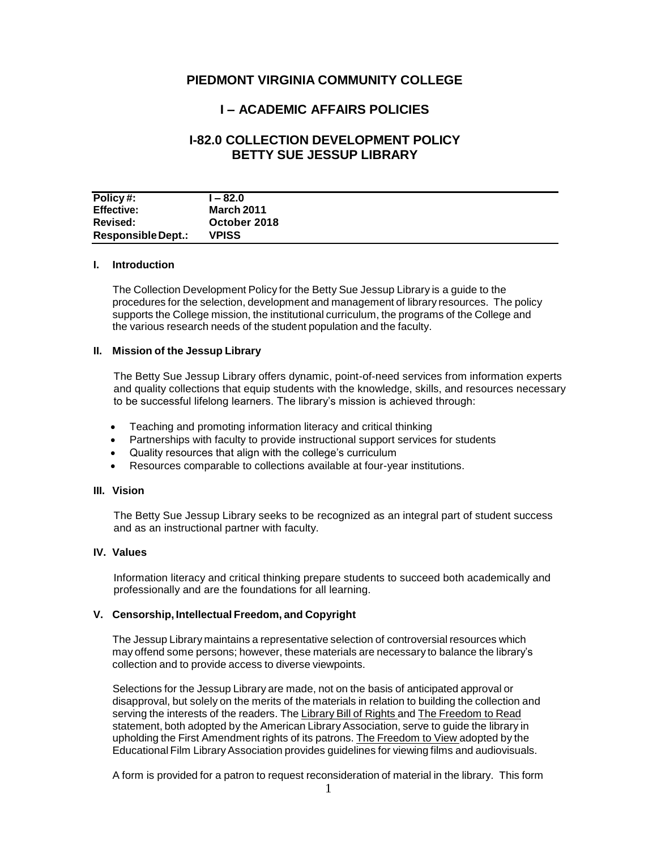# **PIEDMONT VIRGINIA COMMUNITY COLLEGE**

# **I – ACADEMIC AFFAIRS POLICIES**

# **I-82.0 COLLECTION DEVELOPMENT POLICY BETTY SUE JESSUP LIBRARY**

| Policy#:                  | l – 82.0     |
|---------------------------|--------------|
| <b>Effective:</b>         | March 2011   |
| <b>Revised:</b>           | October 2018 |
| <b>Responsible Dept.:</b> | <b>VPISS</b> |

### **I. Introduction**

The Collection Development Policy for the Betty Sue Jessup Library is a guide to the procedures for the selection, development and management of library resources. The policy supports the College mission, the institutional curriculum, the programs of the College and the various research needs of the student population and the faculty.

#### **II. Mission of the Jessup Library**

The Betty Sue Jessup Library offers dynamic, point-of-need services from information experts and quality collections that equip students with the knowledge, skills, and resources necessary to be successful lifelong learners. The library's mission is achieved through:

- Teaching and promoting information literacy and critical thinking
- Partnerships with faculty to provide instructional support services for students
- Quality resources that align with the college's curriculum
- Resources comparable to collections available at four-year institutions.

### **III. Vision**

The Betty Sue Jessup Library seeks to be recognized as an integral part of student success and as an instructional partner with faculty.

#### **IV. Values**

Information literacy and critical thinking prepare students to succeed both academically and professionally and are the foundations for all learning.

#### **V. Censorship, Intellectual Freedom, and Copyright**

The Jessup Library maintains a representative selection of controversial resources which may offend some persons; however, these materials are necessary to balance the library's collection and to provide access to diverse viewpoints.

Selections for the Jessup Library are made, not on the basis of anticipated approval or disapproval, but solely on the merits of the materials in relation to building the collection and serving the interests of the readers. The Library Bill of Rights and The Freedom to Read statement, both adopted by the American Library Association, serve to guide the library in upholding the First Amendment rights of its patrons. The Freedom to View adopted by the Educational Film Library Association provides guidelines for viewing films and audiovisuals.

A form is provided for a patron to request reconsideration of material in the library. This form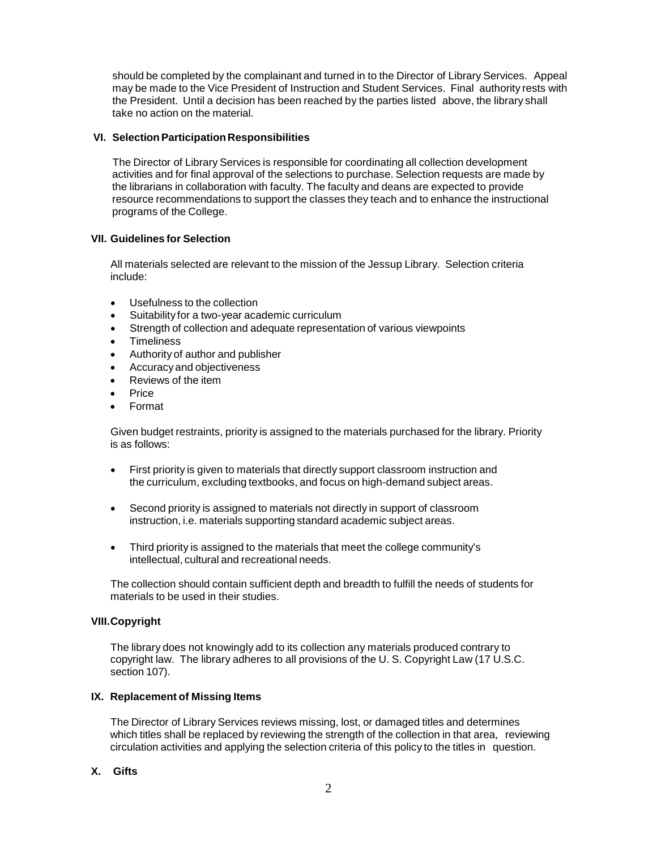should be completed by the complainant and turned in to the Director of Library Services. Appeal may be made to the Vice President of Instruction and Student Services. Final authority rests with the President. Until a decision has been reached by the parties listed above, the library shall take no action on the material.

### **VI. SelectionParticipationResponsibilities**

The Director of Library Services is responsible for coordinating all collection development activities and for final approval of the selections to purchase. Selection requests are made by the librarians in collaboration with faculty. The faculty and deans are expected to provide resource recommendations to support the classes they teach and to enhance the instructional programs of the College.

### **VII. Guidelines for Selection**

All materials selected are relevant to the mission of the Jessup Library. Selection criteria include:

- Usefulness to the collection
- Suitability for a two-year academic curriculum
- Strength of collection and adequate representation of various viewpoints
- Timeliness
- Authority of author and publisher
- Accuracyand objectiveness
- Reviews of the item
- Price
- Format

Given budget restraints, priority is assigned to the materials purchased for the library. Priority is as follows:

- First priority is given to materials that directly support classroom instruction and the curriculum, excluding textbooks, and focus on high-demand subject areas.
- Second priority is assigned to materials not directly in support of classroom instruction, i.e. materials supporting standard academic subject areas.
- Third priority is assigned to the materials that meet the college community's intellectual, cultural and recreational needs.

The collection should contain sufficient depth and breadth to fulfill the needs of students for materials to be used in their studies.

#### **VIII.Copyright**

The library does not knowingly add to its collection any materials produced contrary to copyright law. The library adheres to all provisions of the U. S. Copyright Law (17 U.S.C. section 107).

#### **IX. Replacement of Missing Items**

The Director of Library Services reviews missing, lost, or damaged titles and determines which titles shall be replaced by reviewing the strength of the collection in that area, reviewing circulation activities and applying the selection criteria of this policy to the titles in question.

## **X. Gifts**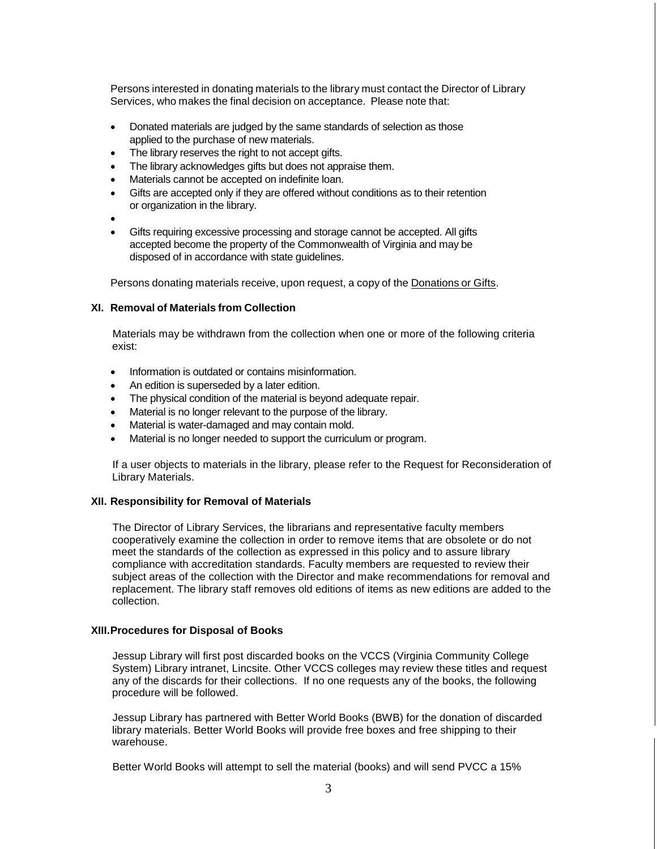Persons interested in donating materials to the library must contact the Director of Library Services, who makes the final decision on acceptance. Please note that:

- Donated materials are judged by the same standards of selection as those applied to the purchase of new materials.
- The library reserves the right to not accept gifts.
- The library acknowledges gifts but does not appraise them.
- Materials cannot be accepted on indefinite loan.
- Gifts are accepted only if they are offered without conditions as to their retention or organization in the library.
- •
- Gifts requiring excessive processing and storage cannot be accepted. All gifts accepted become the property of the Commonwealth of Virginia and may be disposed of in accordance with state guidelines.

Persons donating materials receive, upon request, a copy of the Donations or Gifts.

#### **XI. Removal of Materials from Collection**

Materials may be withdrawn from the collection when one or more of the following criteria exist:

- Information is outdated or contains misinformation.
- An edition is superseded by a later edition.
- The physical condition of the material is beyond adequate repair.
- Material is no longer relevant to the purpose of the library.
- Material is water-damaged and may contain mold.
- Material is no longer needed to support the curriculum or program.

If a user objects to materials in the library, please refer to the Request for Reconsideration of Library Materials.

#### **XII. Responsibility for Removal of Materials**

The Director of Library Services, the librarians and representative faculty members cooperatively examine the collection in order to remove items that are obsolete or do not meet the standards of the collection as expressed in this policy and to assure library compliance with accreditation standards. Faculty members are requested to review their subject areas of the collection with the Director and make recommendations for removal and replacement. The library staff removes old editions of items as new editions are added to the collection.

#### **XIII.Procedures for Disposal of Books**

Jessup Library will first post discarded books on the VCCS (Virginia Community College System) Library intranet, Lincsite. Other VCCS colleges may review these titles and request any of the discards for their collections. If no one requests any of the books, the following procedure will be followed.

Jessup Library has partnered with Better World Books (BWB) for the donation of discarded library materials. Better World Books will provide free boxes and free shipping to their warehouse.

Better World Books will attempt to sell the material (books) and will send PVCC a 15%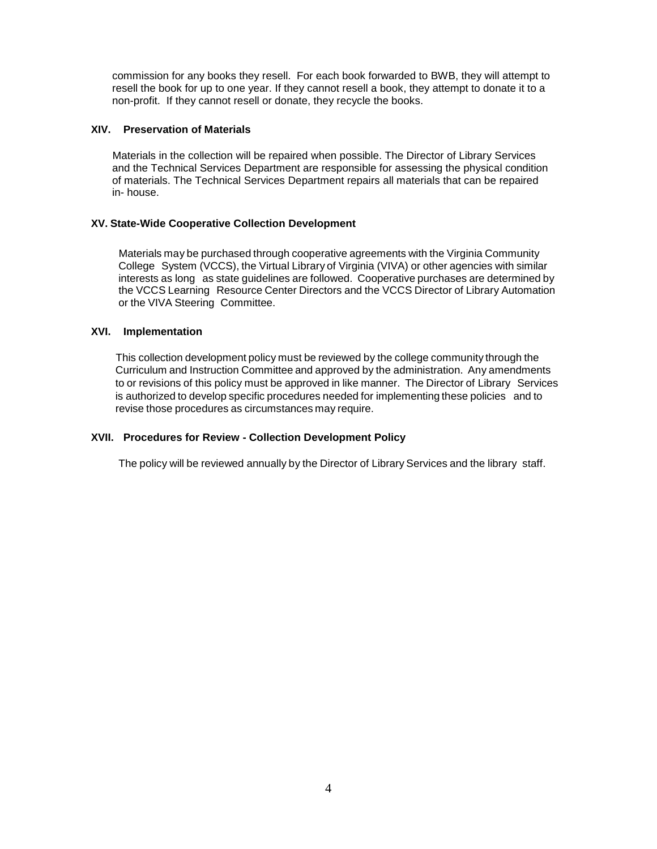commission for any books they resell. For each book forwarded to BWB, they will attempt to resell the book for up to one year. If they cannot resell a book, they attempt to donate it to a non-profit. If they cannot resell or donate, they recycle the books.

### **XIV. Preservation of Materials**

Materials in the collection will be repaired when possible. The Director of Library Services and the Technical Services Department are responsible for assessing the physical condition of materials. The Technical Services Department repairs all materials that can be repaired in- house.

### **XV. State-Wide Cooperative Collection Development**

Materials may be purchased through cooperative agreements with the Virginia Community College System (VCCS), the Virtual Library of Virginia (VIVA) or other agencies with similar interests as long as state guidelines are followed. Cooperative purchases are determined by the VCCS Learning Resource Center Directors and the VCCS Director of Library Automation or the VIVA Steering Committee.

### **XVI. Implementation**

This collection development policy must be reviewed by the college community through the Curriculum and Instruction Committee and approved by the administration. Any amendments to or revisions of this policy must be approved in like manner. The Director of Library Services is authorized to develop specific procedures needed for implementing these policies and to revise those procedures as circumstances may require.

## **XVII. Procedures for Review - Collection Development Policy**

The policy will be reviewed annually by the Director of Library Services and the library staff.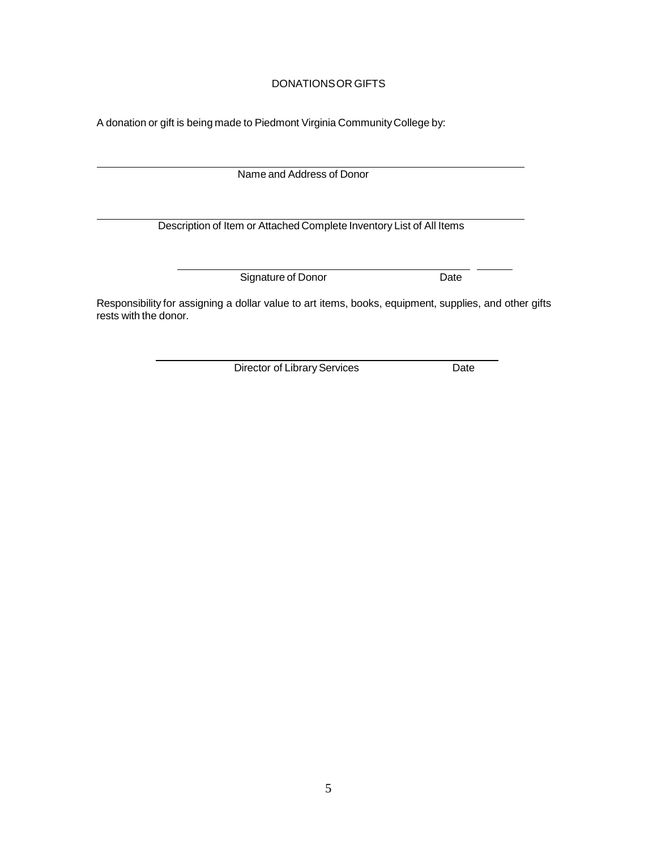# DONATIONSOR GIFTS

A donation or gift is being made to Piedmont Virginia Community College by:

Name and Address of Donor

Description of Item or Attached Complete Inventory List of All Items

Signature of Donor Date

Responsibility for assigning a dollar value to art items, books, equipment, supplies, and other gifts rests with the donor.

Director of Library Services Date